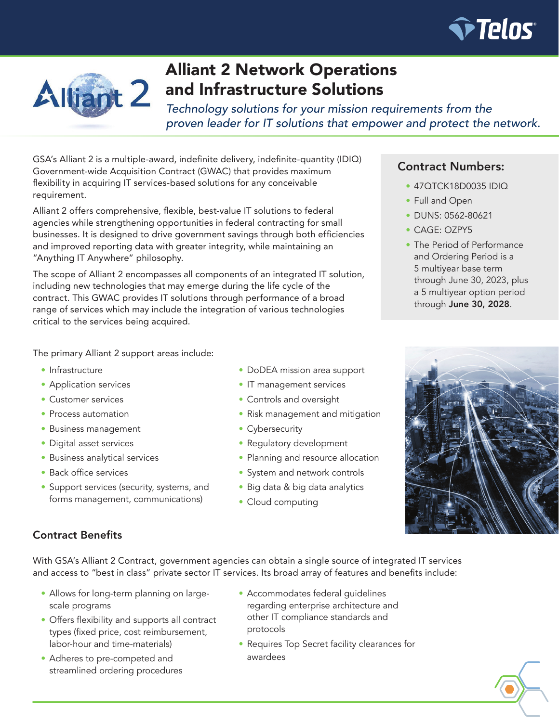



# Alliant 2 Network Operations and Infrastructure Solutions

*Technology solutions for your mission requirements from the proven leader for IT solutions that empower and protect the network.*

GSA's Alliant 2 is a multiple-award, indefinite delivery, indefinite-quantity (IDIQ) Government-wide Acquisition Contract (GWAC) that provides maximum flexibility in acquiring IT services-based solutions for any conceivable requirement.

Alliant 2 offers comprehensive, flexible, best-value IT solutions to federal agencies while strengthening opportunities in federal contracting for small businesses. It is designed to drive government savings through both efficiencies and improved reporting data with greater integrity, while maintaining an "Anything IT Anywhere" philosophy.

The scope of Alliant 2 encompasses all components of an integrated IT solution, including new technologies that may emerge during the life cycle of the contract. This GWAC provides IT solutions through performance of a broad range of services which may include the integration of various technologies critical to the services being acquired.

## Contract Numbers:

- 47QTCK18D0035 IDIQ
- Full and Open
- DUNS: 0562-80621
- CAGE: OZPY5
- The Period of Performance and Ordering Period is a 5 multiyear base term through June 30, 2023, plus a 5 multiyear option period through June 30, 2028.

The primary Alliant 2 support areas include:

- Infrastructure
- Application services
- Customer services
- Process automation
- Business management
- Digital asset services
- Business analytical services
- Back office services
- Support services (security, systems, and forms management, communications)
- DoDEA mission area support
- IT management services
- Controls and oversight
- Risk management and mitigation
- Cybersecurity
- Regulatory development
- Planning and resource allocation
- System and network controls
- Big data & big data analytics
- Cloud computing



# Contract Benefits

With GSA's Alliant 2 Contract, government agencies can obtain a single source of integrated IT services and access to "best in class" private sector IT services. Its broad array of features and benefits include:

- Allows for long-term planning on largescale programs
- Offers flexibility and supports all contract types (fixed price, cost reimbursement, labor-hour and time-materials)
- Adheres to pre-competed and streamlined ordering procedures
- Accommodates federal guidelines regarding enterprise architecture and other IT compliance standards and protocols
- Requires Top Secret facility clearances for awardees